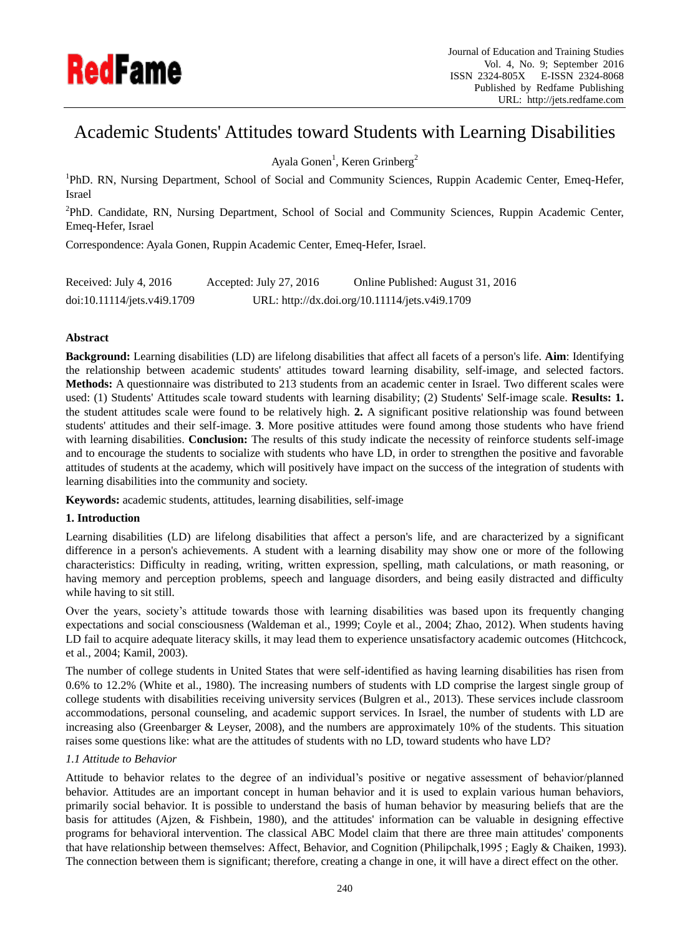

# Academic Students' Attitudes toward Students with Learning Disabilities

Ayala Gonen<sup>1</sup>, Keren Grinberg<sup>2</sup>

<sup>1</sup>PhD. RN, Nursing Department, School of Social and Community Sciences, Ruppin Academic Center, Emeq-Hefer, Israel

<sup>2</sup>PhD. Candidate, RN, Nursing Department, School of Social and Community Sciences, Ruppin Academic Center, Emeq-Hefer, Israel

Correspondence: Ayala Gonen, Ruppin Academic Center, Emeq-Hefer, Israel.

| Received: July 4, 2016      | Accepted: July $27, 2016$ | Online Published: August 31, 2016              |
|-----------------------------|---------------------------|------------------------------------------------|
| doi:10.11114/jets.v4i9.1709 |                           | URL: http://dx.doi.org/10.11114/jets.v4i9.1709 |

# **Abstract**

**Background:** Learning disabilities (LD) are lifelong disabilities that affect all facets of a person's life. **Aim**: Identifying the relationship between academic students' attitudes toward learning disability, self-image, and selected factors. **Methods:** A questionnaire was distributed to 213 students from an academic center in Israel. Two different scales were used: (1) Students' Attitudes scale toward students with learning disability; (2) Students' Self-image scale. **Results: 1.** the student attitudes scale were found to be relatively high. **2.** A significant positive relationship was found between students' attitudes and their self-image. **3**. More positive attitudes were found among those students who have friend with learning disabilities. **Conclusion:** The results of this study indicate the necessity of reinforce students self-image and to encourage the students to socialize with students who have LD, in order to strengthen the positive and favorable attitudes of students at the academy, which will positively have impact on the success of the integration of students with learning disabilities into the community and society.

**Keywords:** academic students, attitudes, learning disabilities, self-image

# **1. Introduction**

Learning disabilities (LD) are lifelong disabilities that affect a person's life, and are characterized by a significant difference in a person's achievements. A student with a learning disability may show one or more of the following characteristics: Difficulty in reading, writing, written expression, spelling, math calculations, or math reasoning, or having memory and perception problems, speech and language disorders, and being easily distracted and difficulty while having to sit still.

Over the years, society's attitude towards those with learning disabilities was based upon its frequently changing expectations and social consciousness (Waldeman et al., 1999; Coyle et al., 2004; Zhao, 2012). When students having LD fail to acquire adequate literacy skills, it may lead them to experience unsatisfactory academic outcomes (Hitchcock, et al., 2004; Kamil, 2003).

The number of college students in United States that were self-identified as having learning disabilities has risen from 0.6% to 12.2% (White et al., 1980). The increasing numbers of students with LD comprise the largest single group of college students with disabilities receiving university services (Bulgren et al., 2013). These services include classroom accommodations, personal counseling, and academic support services. In Israel, the number of students with LD are increasing also (Greenbarger & Leyser, 2008), and the numbers are approximately 10% of the students. This situation raises some questions like: what are the attitudes of students with no LD, toward students who have LD?

# *1.1 Attitude to Behavior*

Attitude to behavior relates to the degree of an individual's positive or negative assessment of behavior/planned behavior. Attitudes are an important concept in human behavior and it is used to explain various human behaviors, primarily social behavior. It is possible to understand the basis of human behavior by measuring beliefs that are the basis for attitudes (Ajzen, & Fishbein, 1980), and the attitudes' information can be valuable in designing effective programs for behavioral intervention. The classical ABC Model claim that there are three main attitudes' components that have relationship between themselves: Affect, Behavior, and Cognition (Philipchalk, 1995; Eagly & Chaiken, 1993). The connection between them is significant; therefore, creating a change in one, it will have a direct effect on the other.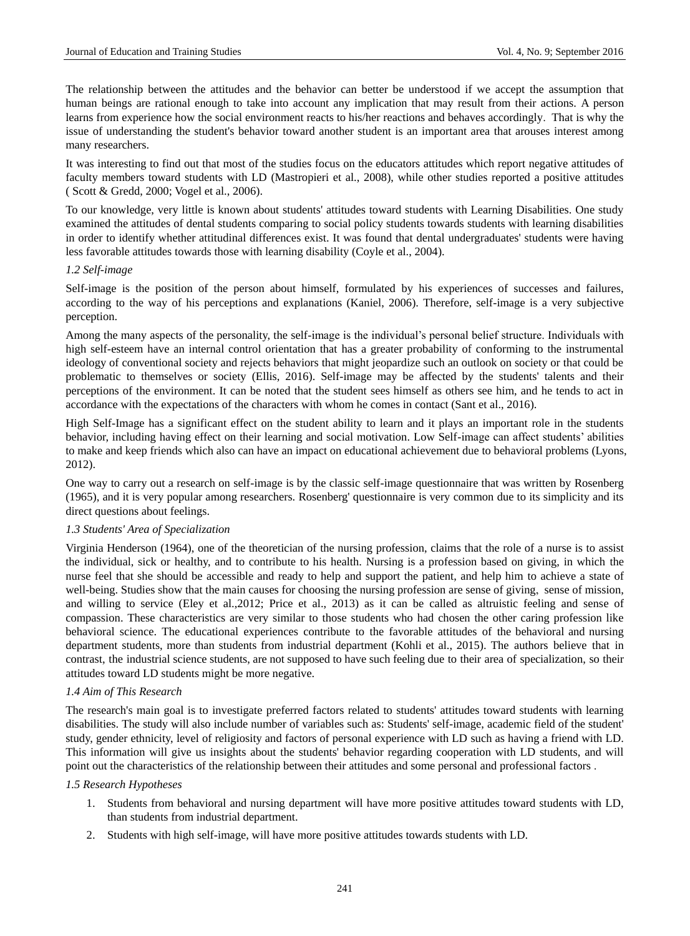The relationship between the attitudes and the behavior can better be understood if we accept the assumption that human beings are rational enough to take into account any implication that may result from their actions. A person learns from experience how the social environment reacts to his/her reactions and behaves accordingly. That is why the issue of understanding the student's behavior toward another student is an important area that arouses interest among many researchers.

It was interesting to find out that most of the studies focus on the educators attitudes which report negative attitudes of faculty members toward students with LD (Mastropieri et al., 2008), while other studies reported a positive attitudes ( Scott & Gredd, 2000; Vogel et al., 2006).

To our knowledge, very little is known about students' attitudes toward students with Learning Disabilities. One study examined the attitudes of dental students comparing to social policy students towards students with learning disabilities in order to identify whether attitudinal differences exist. It was found that dental undergraduates' students were having less favorable attitudes towards those with learning disability (Coyle et al., 2004).

### *1.2 Self-image*

Self-image is the position of the person about himself, formulated by his experiences of successes and failures, according to the way of his perceptions and explanations (Kaniel, 2006). Therefore, self-image is a very subjective perception.

Among the many aspects of the personality, the self-image is the individual's personal belief structure. Individuals with high self-esteem have an internal control orientation that has a greater probability of conforming to the instrumental ideology of conventional society and rejects behaviors that might jeopardize such an outlook on society or that could be problematic to themselves or society (Ellis, 2016). Self-image may be affected by the students' talents and their perceptions of the environment. It can be noted that the student sees himself as others see him, and he tends to act in accordance with the expectations of the characters with whom he comes in contact (Sant et al., 2016).

High Self-Image has a significant effect on the student ability to learn and it plays an important role in the students behavior, including having effect on their learning and social motivation. Low Self-image can affect students' abilities to make and keep friends which also can have an impact on educational achievement due to behavioral problems (Lyons, 2012).

One way to carry out a research on self-image is by the classic self-image questionnaire that was written by Rosenberg (1965), and it is very popular among researchers. Rosenberg' questionnaire is very common due to its simplicity and its direct questions about feelings.

# *1.3 Students' Area of Specialization*

Virginia Henderson (1964), one of the theoretician of the nursing profession, claims that the role of a nurse is to assist the individual, sick or healthy, and to contribute to his health. Nursing is a profession based on giving, in which the nurse feel that she should be accessible and ready to help and support the patient, and help him to achieve a state of well-being. Studies show that the main causes for choosing the nursing profession are sense of giving, sense of mission, and willing to service (Eley et al.,2012; Price et al., 2013) as it can be called as altruistic feeling and sense of compassion. These characteristics are very similar to those students who had chosen the other caring profession like behavioral science. The educational experiences contribute to the favorable attitudes of the behavioral and nursing department students, more than students from industrial department (Kohli et al., 2015). The authors believe that in contrast, the industrial science students, are not supposed to have such feeling due to their area of specialization, so their attitudes toward LD students might be more negative.

# *1.4 Aim of This Research*

The research's main goal is to investigate preferred factors related to students' attitudes toward students with learning disabilities. The study will also include number of variables such as: Students' self-image, academic field of the student' study, gender ethnicity, level of religiosity and factors of personal experience with LD such as having a friend with LD. This information will give us insights about the students' behavior regarding cooperation with LD students, and will point out the characteristics of the relationship between their attitudes and some personal and professional factors .

### *1.5 Research Hypotheses*

- 1. Students from behavioral and nursing department will have more positive attitudes toward students with LD, than students from industrial department.
- 2. Students with high self-image, will have more positive attitudes towards students with LD.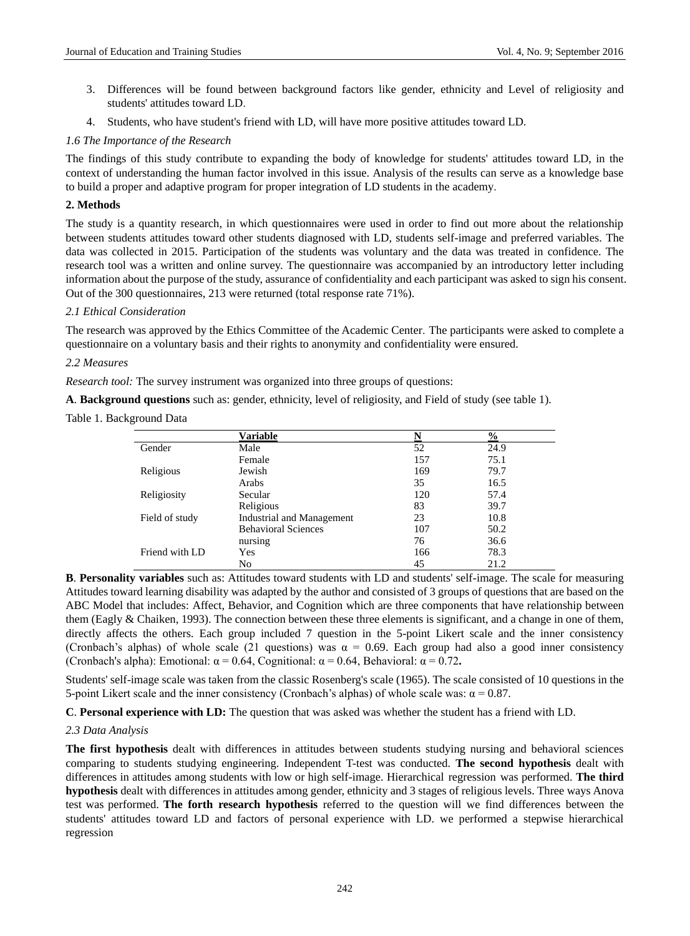- 3. Differences will be found between background factors like gender, ethnicity and Level of religiosity and students' attitudes toward LD.
- 4. Students, who have student's friend with LD, will have more positive attitudes toward LD.

## *1.6 The Importance of the Research*

The findings of this study contribute to expanding the body of knowledge for students' attitudes toward LD, in the context of understanding the human factor involved in this issue. Analysis of the results can serve as a knowledge base to build a proper and adaptive program for proper integration of LD students in the academy.

# **2. Methods**

The study is a quantity research, in which questionnaires were used in order to find out more about the relationship between students attitudes toward other students diagnosed with LD, students self-image and preferred variables. The data was collected in 2015. Participation of the students was voluntary and the data was treated in confidence. The research tool was a written and online survey. The questionnaire was accompanied by an introductory letter including information about the purpose of the study, assurance of confidentiality and each participant was asked to sign his consent. Out of the 300 questionnaires, 213 were returned (total response rate 71%).

# *2.1 Ethical Consideration*

The research was approved by the Ethics Committee of the Academic Center. The participants were asked to complete a questionnaire on a voluntary basis and their rights to anonymity and confidentiality were ensured.

# *2.2 Measures*

*Research tool:* The survey instrument was organized into three groups of questions:

**A**. **Background questions** such as: gender, ethnicity, level of religiosity, and Field of study (see table 1).

Table 1. Background Data

|                | Variable                         | N   | $\frac{0}{0}$ |
|----------------|----------------------------------|-----|---------------|
| Gender         | Male                             | 52  | 24.9          |
|                | Female                           | 157 | 75.1          |
| Religious      | Jewish                           | 169 | 79.7          |
|                | Arabs                            | 35  | 16.5          |
| Religiosity    | Secular                          | 120 | 57.4          |
|                | Religious                        | 83  | 39.7          |
| Field of study | <b>Industrial and Management</b> | 23  | 10.8          |
|                | <b>Behavioral Sciences</b>       | 107 | 50.2          |
|                | nursing                          | 76  | 36.6          |
| Friend with LD | Yes                              | 166 | 78.3          |
|                | No                               | 45  | 21.2          |

**B**. **Personality variables** such as: Attitudes toward students with LD and students' self-image. The scale for measuring Attitudes toward learning disability was adapted by the author and consisted of 3 groups of questions that are based on the ABC Model that includes: Affect, Behavior, and Cognition which are three components that have relationship between them (Eagly & Chaiken, 1993). The connection between these three elements is significant, and a change in one of them, directly affects the others. Each group included 7 question in the 5-point Likert scale and the inner consistency (Cronbach's alphas) of whole scale (21 questions) was  $\alpha = 0.69$ . Each group had also a good inner consistency (Cronbach's alpha): Emotional:  $\alpha = 0.64$ , Cognitional:  $\alpha = 0.64$ , Behavioral:  $\alpha = 0.72$ .

Students' self-image scale was taken from the classic Rosenberg's scale (1965). The scale consisted of 10 questions in the 5-point Likert scale and the inner consistency (Cronbach's alphas) of whole scale was:  $α = 0.87$ .

**C**. **Personal experience with LD:** The question that was asked was whether the student has a friend with LD.

# *2.3 Data Analysis*

**The first hypothesis** dealt with differences in attitudes between students studying nursing and behavioral sciences comparing to students studying engineering. Independent T-test was conducted. **The second hypothesis** dealt with differences in attitudes among students with low or high self-image. Hierarchical regression was performed. **The third hypothesis** dealt with differences in attitudes among gender, ethnicity and 3 stages of religious levels. Three ways Anova test was performed. **The forth research hypothesis** referred to the question will we find differences between the students' attitudes toward LD and factors of personal experience with LD. we performed a stepwise hierarchical regression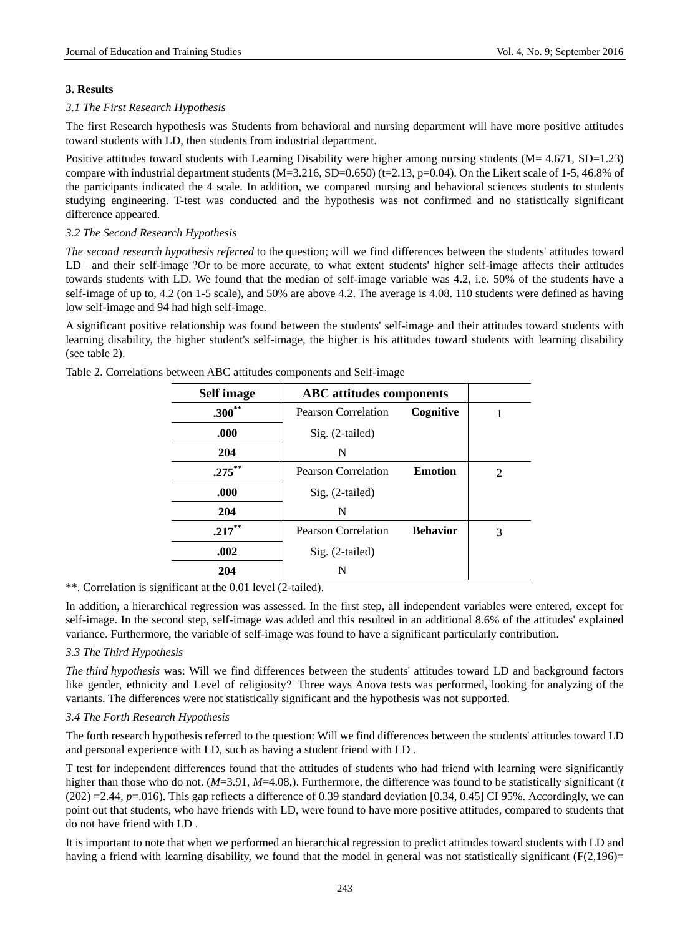# **3. Results**

# *3.1 The First Research Hypothesis*

The first Research hypothesis was Students from behavioral and nursing department will have more positive attitudes toward students with LD, then students from industrial department.

Positive attitudes toward students with Learning Disability were higher among nursing students (M= 4.671, SD=1.23) compare with industrial department students  $(M=3.216, SD=0.650)$  (t=2.13, p=0.04). On the Likert scale of 1-5, 46.8% of the participants indicated the 4 scale. In addition, we compared nursing and behavioral sciences students to students studying engineering. T-test was conducted and the hypothesis was not confirmed and no statistically significant difference appeared.

# *3.2 The Second Research Hypothesis*

*The second research hypothesis referred* to the question; will we find differences between the students' attitudes toward LD –and their self-image ?Or to be more accurate, to what extent students' higher self-image affects their attitudes towards students with LD. We found that the median of self-image variable was 4.2, i.e. 50% of the students have a self-image of up to, 4.2 (on 1-5 scale), and 50% are above 4.2. The average is 4.08. 110 students were defined as having low self-image and 94 had high self-image.

A significant positive relationship was found between the students' self-image and their attitudes toward students with learning disability, the higher student's self-image, the higher is his attitudes toward students with learning disability (see table 2).

| <b>Self image</b> | <b>ABC</b> attitudes components |                 |                |
|-------------------|---------------------------------|-----------------|----------------|
| $.300**$          | <b>Pearson Correlation</b>      | Cognitive       |                |
| .000              | Sig. (2-tailed)                 |                 |                |
| 204               | N                               |                 |                |
| $.275***$         | Pearson Correlation             | <b>Emotion</b>  | $\mathfrak{D}$ |
| .000              | $Sig. (2-tailed)$               |                 |                |
| 204               | N                               |                 |                |
| $.217***$         | <b>Pearson Correlation</b>      | <b>Behavior</b> | 3              |
| .002              | Sig. (2-tailed)                 |                 |                |
| 204               | N                               |                 |                |

Table 2. Correlations between ABC attitudes components and Self-image

\*\*. Correlation is significant at the 0.01 level (2-tailed).

In addition, a hierarchical regression was assessed. In the first step, all independent variables were entered, except for self-image. In the second step, self-image was added and this resulted in an additional 8.6% of the attitudes' explained variance. Furthermore, the variable of self-image was found to have a significant particularly contribution.

# *3.3 The Third Hypothesis*

*The third hypothesis* was: Will we find differences between the students' attitudes toward LD and background factors like gender, ethnicity and Level of religiosity? Three ways Anova tests was performed, looking for analyzing of the variants. The differences were not statistically significant and the hypothesis was not supported.

# *3.4 The Forth Research Hypothesis*

The forth research hypothesis referred to the question: Will we find differences between the students' attitudes toward LD and personal experience with LD, such as having a student friend with LD .

T test for independent differences found that the attitudes of students who had friend with learning were significantly higher than those who do not. (*M*=3.91, *M*=4.08,). Furthermore, the difference was found to be statistically significant (*t*  $(202) = 2.44$ ,  $p = 016$ ). This gap reflects a difference of 0.39 standard deviation [0.34, 0.45] CI 95%. Accordingly, we can point out that students, who have friends with LD, were found to have more positive attitudes, compared to students that do not have friend with LD .

It is important to note that when we performed an hierarchical regression to predict attitudes toward students with LD and having a friend with learning disability, we found that the model in general was not statistically significant  $(F(2,196)$ =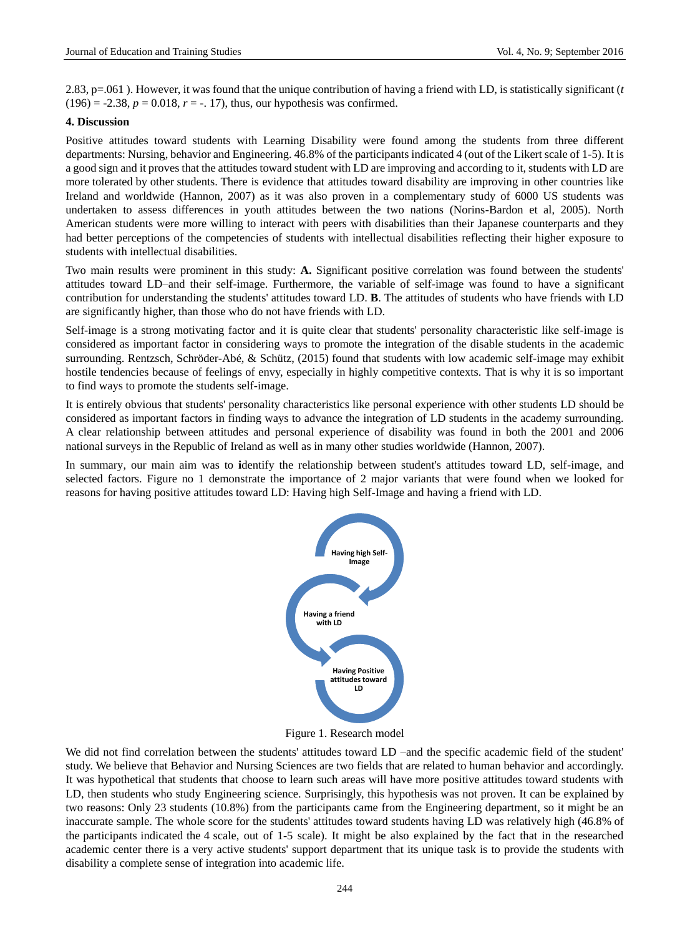2.83, p=.061 ). However, it was found that the unique contribution of having a friend with LD, is statistically significant (*t*  $(196) = -2.38$ ,  $p = 0.018$ ,  $r = -1.17$ ), thus, our hypothesis was confirmed.

## **4. Discussion**

Positive attitudes toward students with Learning Disability were found among the students from three different departments: Nursing, behavior and Engineering. 46.8% of the participants indicated 4 (out of the Likert scale of 1-5). It is a good sign and it proves that the attitudes toward student with LD are improving and according to it, students with LD are more tolerated by other students. There is evidence that attitudes toward disability are improving in other countries like Ireland and worldwide (Hannon, 2007) as it was also proven in a complementary study of 6000 US students was undertaken to assess differences in youth attitudes between the two nations (Norins-Bardon et al, 2005). North American students were more willing to interact with peers with disabilities than their Japanese counterparts and they had better perceptions of the competencies of students with intellectual disabilities reflecting their higher exposure to students with intellectual disabilities.

Two main results were prominent in this study: **A.** Significant positive correlation was found between the students' attitudes toward LD–and their self-image. Furthermore, the variable of self-image was found to have a significant contribution for understanding the students' attitudes toward LD. **B**. The attitudes of students who have friends with LD are significantly higher, than those who do not have friends with LD.

Self-image is a strong motivating factor and it is quite clear that students' personality characteristic like self-image is considered as important factor in considering ways to promote the integration of the disable students in the academic surrounding. Rentzsch, Schröder-Ab é, & Schütz, (2015) found that students with low academic self-image may exhibit hostile tendencies because of feelings of envy, especially in highly competitive contexts. That is why it is so important to find ways to promote the students self-image.

It is entirely obvious that students' personality characteristics like personal experience with other students LD should be considered as important factors in finding ways to advance the integration of LD students in the academy surrounding. A clear relationship between attitudes and personal experience of disability was found in both the 2001 and 2006 national surveys in the Republic of Ireland as well as in many other studies worldwide (Hannon, 2007).

In summary, our main aim was to **i**dentify the relationship between student's attitudes toward LD, self-image, and selected factors. Figure no 1 demonstrate the importance of 2 major variants that were found when we looked for reasons for having positive attitudes toward LD: Having high Self-Image and having a friend with LD.



Figure 1. Research model

We did not find correlation between the students' attitudes toward LD –and the specific academic field of the student' study. We believe that Behavior and Nursing Sciences are two fields that are related to human behavior and accordingly. It was hypothetical that students that choose to learn such areas will have more positive attitudes toward students with LD, then students who study Engineering science. Surprisingly, this hypothesis was not proven. It can be explained by two reasons: Only 23 students (10.8%) from the participants came from the Engineering department, so it might be an inaccurate sample. The whole score for the students' attitudes toward students having LD was relatively high (46.8% of the participants indicated the 4 scale, out of 1-5 scale). It might be also explained by the fact that in the researched academic center there is a very active students' support department that its unique task is to provide the students with disability a complete sense of integration into academic life.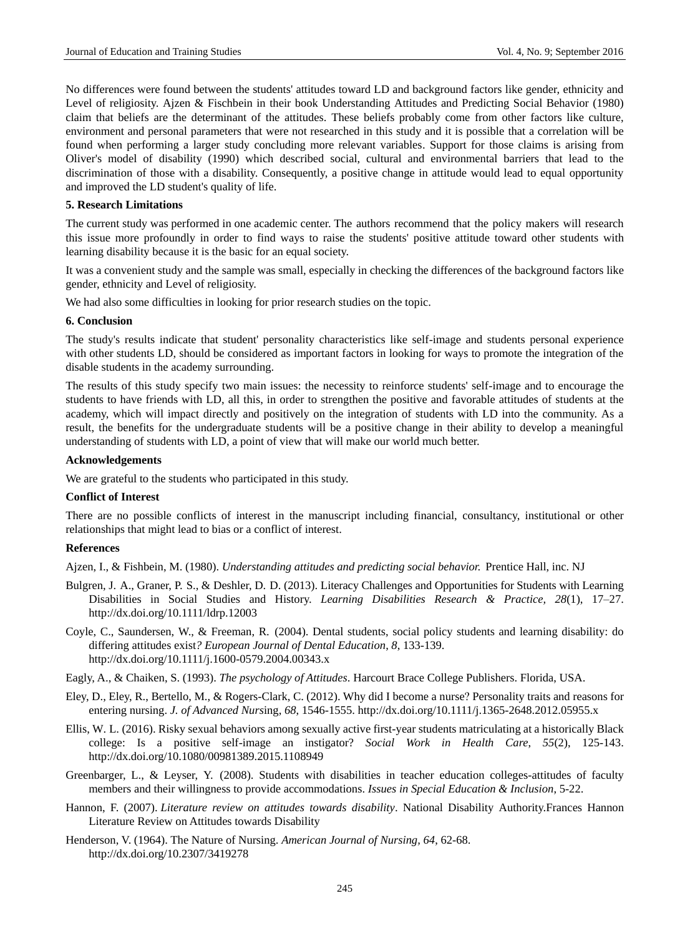No differences were found between the students' attitudes toward LD and background factors like gender, ethnicity and Level of religiosity. Ajzen & Fischbein in their book Understanding Attitudes and Predicting Social Behavior (1980) claim that beliefs are the determinant of the attitudes. These beliefs probably come from other factors like culture, environment and personal parameters that were not researched in this study and it is possible that a correlation will be found when performing a larger study concluding more relevant variables. Support for those claims is arising from Oliver's model of disability (1990) which described social, cultural and environmental barriers that lead to the discrimination of those with a disability. Consequently, a positive change in attitude would lead to equal opportunity and improved the LD student's quality of life.

### **5. Research Limitations**

The current study was performed in one academic center. The authors recommend that the policy makers will research this issue more profoundly in order to find ways to raise the students' positive attitude toward other students with learning disability because it is the basic for an equal society.

It was a convenient study and the sample was small, especially in checking the differences of the background factors like gender, ethnicity and Level of religiosity.

We had also some difficulties in looking for prior research studies on the topic.

### **6. Conclusion**

The study's results indicate that student' personality characteristics like self-image and students personal experience with other students LD, should be considered as important factors in looking for ways to promote the integration of the disable students in the academy surrounding.

The results of this study specify two main issues: the necessity to reinforce students' self-image and to encourage the students to have friends with LD, all this, in order to strengthen the positive and favorable attitudes of students at the academy, which will impact directly and positively on the integration of students with LD into the community. As a result, the benefits for the undergraduate students will be a positive change in their ability to develop a meaningful understanding of students with LD, a point of view that will make our world much better.

## **Acknowledgements**

We are grateful to the students who participated in this study.

## **Conflict of Interest**

There are no possible conflicts of interest in the manuscript including financial, consultancy, institutional or other relationships that might lead to bias or a conflict of interest.

#### **References**

Ajzen, I., & Fishbein, M. (1980). *Understanding attitudes and predicting social behavior.* Prentice Hall, inc. NJ

- Bulgren, J. A., Graner, P. S., & Deshler, D. D. (2013). Literacy Challenges and Opportunities for Students with Learning Disabilities in Social Studies and History. *Learning Disabilities Research & Practice, 28*(1), 17–27. <http://dx.doi.org/10.1111/ldrp.12003>
- Coyle, C., Saundersen, W., & Freeman, R. (2004). Dental students, social policy students and learning disability: do differing attitudes exist*? European Journal of Dental Education*, *8*, 133-139. <http://dx.doi.org/10.1111/j.1600-0579.2004.00343.x>
- Eagly, A., & Chaiken, S. (1993). *The psychology of Attitudes*. Harcourt Brace College Publishers. Florida, USA.
- Eley, D., Eley, R., Bertello, M., & Rogers-Clark, C. (2012). Why did I become a nurse? Personality traits and reasons for entering nursing. *J. of Advanced Nurs*ing, *68*, 1546-1555.<http://dx.doi.org/10.1111/j.1365-2648.2012.05955.x>
- Ellis, W. L. (2016). Risky sexual behaviors among sexually active first-year students matriculating at a historically Black college: Is a positive self-image an instigator? *Social Work in Health Care*, *55*(2), 125-143. <http://dx.doi.org/10.1080/00981389.2015.1108949>
- Greenbarger, L., & Leyser, Y. (2008). Students with disabilities in teacher education colleges-attitudes of faculty members and their willingness to provide accommodations. *Issues in Special Education & Inclusion*, 5-22.
- Hannon, F. (2007). *Literature review on attitudes towards disability*. National Disability Authority.Frances Hannon Literature Review on Attitudes towards Disability
- Henderson, V. (1964). The Nature of Nursing. *American Journal of Nursing, 64*, 62-68. <http://dx.doi.org/10.2307/3419278>